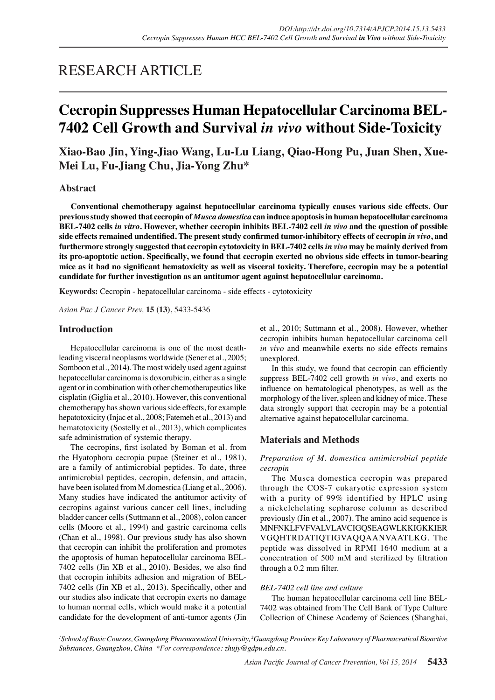# RESEARCH ARTICLE

# **Cecropin Suppresses Human Hepatocellular Carcinoma BEL-7402 Cell Growth and Survival** *in vivo* **without Side-Toxicity**

**Xiao-Bao Jin, Ying-Jiao Wang, Lu-Lu Liang, Qiao-Hong Pu, Juan Shen, Xue-Mei Lu, Fu-Jiang Chu, Jia-Yong Zhu\***

# **Abstract**

**Conventional chemotherapy against hepatocellular carcinoma typically causes various side effects. Our previous study showed that cecropin of** *Musca domestica* **can induce apoptosis in human hepatocellular carcinoma BEL-7402 cells** *in vitro***. However, whether cecropin inhibits BEL-7402 cell** *in vivo* **and the question of possible side effects remained undentified. The present study confirmed tumor-inhibitory effects of cecropin** *in vivo***, and furthermore strongly suggested that cecropin cytotoxicity in BEL-7402 cells** *in vivo* **may be mainly derived from its pro-apoptotic action. Specifically, we found that cecropin exerted no obvious side effects in tumor-bearing mice as it had no significant hematoxicity as well as visceral toxicity. Therefore, cecropin may be a potential candidate for further investigation as an antitumor agent against hepatocellular carcinoma.**

**Keywords:** Cecropin - hepatocellular carcinoma - side effects - cytotoxicity

*Asian Pac J Cancer Prev,* **15 (13)**, 5433-5436

# **Introduction**

Hepatocellular carcinoma is one of the most deathleading visceral neoplasms worldwide (Sener et al., 2005; Somboon et al., 2014). The most widely used agent against hepatocellular carcinoma is doxorubicin, either as a single agent or in combination with other chemotherapeutics like cisplatin (Giglia et al., 2010). However, this conventional chemotherapy has shown various side effects, for example hepatotoxicity (Injac et al., 2008; Fatemeh et al., 2013) and hematotoxicity (Sostelly et al., 2013), which complicates safe administration of systemic therapy.

 The cecropins, first isolated by Boman et al. from the Hyatophora cecropia pupae (Steiner et al., 1981), are a family of antimicrobial peptides. To date, three antimicrobial peptides, cecropin, defensin, and attacin, have been isolated from M.domestica (Liang et al., 2006). Many studies have indicated the antitumor activity of cecropins against various cancer cell lines, including bladder cancer cells (Suttmann et al., 2008), colon cancer cells (Moore et al., 1994) and gastric carcinoma cells (Chan et al., 1998). Our previous study has also shown that cecropin can inhibit the proliferation and promotes the apoptosis of human hepatocellular carcinoma BEL-7402 cells (Jin XB et al., 2010). Besides, we also find that cecropin inhibits adhesion and migration of BEL-7402 cells (Jin XB et al., 2013). Specifically, other and our studies also indicate that cecropin exerts no damage to human normal cells, which would make it a potential candidate for the development of anti-tumor agents (Jin et al., 2010; Suttmann et al., 2008). However, whether cecropin inhibits human hepatocellular carcinoma cell *in vivo* and meanwhile exerts no side effects remains unexplored.

 In this study, we found that cecropin can efficiently suppress BEL-7402 cell growth *in vivo*, and exerts no influence on hematological phenotypes, as well as the morphology of the liver, spleen and kidney of mice. These data strongly support that cecropin may be a potential alternative against hepatocellular carcinoma.

# **Materials and Methods**

# *Preparation of M. domestica antimicrobial peptide cecropin*

The Musca domestica cecropin was prepared through the COS-7 eukaryotic expression system with a purity of 99% identified by HPLC using a nickelchelating sepharose column as described previously (Jin et al., 2007). The amino acid sequence is MNFNKLFVFVALVLAVCIGQSEAGWLKKIGKKIER VGQHTRDATIQTIGVAQQAANVAATLKG. The peptide was dissolved in RPMI 1640 medium at a concentration of 500 mM and sterilized by filtration through a 0.2 mm filter.

## *BEL-7402 cell line and culture*

 The human hepatocellular carcinoma cell line BEL-7402 was obtained from The Cell Bank of Type Culture Collection of Chinese Academy of Sciences (Shanghai,

*1 School of Basic Courses, Guangdong Pharmaceutical University, 2 Guangdong Province Key Laboratory of Pharmaceutical Bioactive Substances, Guangzhou, China \*For correspondence: zhujy@gdpu.edu.cn.*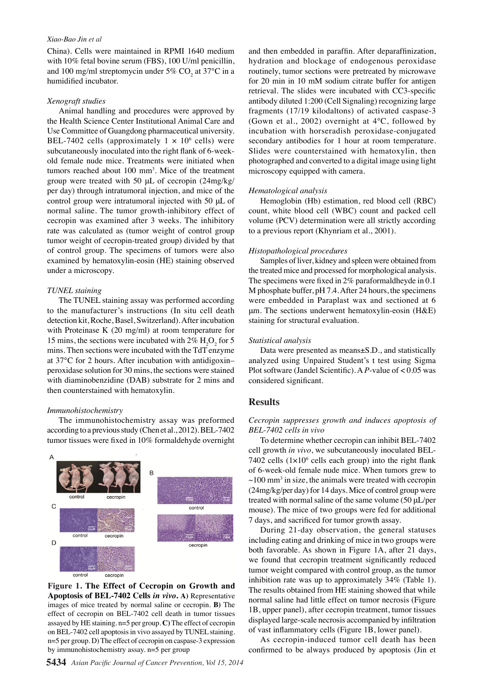#### *Xiao-Bao Jin et al*

China). Cells were maintained in RPMI 1640 medium with 10% fetal bovine serum (FBS), 100 U/ml penicillin, and 100 mg/ml streptomycin under 5% CO<sub>2</sub> at 37 $\rm ^{o}C$  in a humidified incubator.

## *Xenograft studies*

 Animal handling and procedures were approved by the Health Science Center Institutional Animal Care and Use Committee of Guangdong pharmaceutical university. BEL-7402 cells (approximately  $1 \times 10^6$  cells) were subcutaneously inoculated into the right flank of 6-weekold female nude mice. Treatments were initiated when tumors reached about  $100 \text{ mm}^3$ . Mice of the treatment group were treated with 50 μL of cecropin (24mg/kg/ per day) through intratumoral injection, and mice of the control group were intratumoral injected with 50 μL of normal saline. The tumor growth-inhibitory effect of cecropin was examined after 3 weeks. The inhibitory rate was calculated as (tumor weight of control group tumor weight of cecropin-treated group) divided by that of control group. The specimens of tumors were also examined by hematoxylin-eosin (HE) staining observed under a microscopy.

#### *TUNEL staining*

 The TUNEL staining assay was performed according to the manufacturer's instructions (In situ cell death detection kit, Roche, Basel, Switzerland).After incubation with Proteinase K (20 mg/ml) at room temperature for 15 mins, the sections were incubated with  $2\%$  H<sub>2</sub>O<sub>2</sub> for 5 mins. Then sections were incubated with the TdT enzyme at 37℃ for 2 hours. After incubation with antidigoxin– peroxidase solution for 30 mins, the sections were stained with diaminobenzidine (DAB) substrate for 2 mins and then counterstained with hematoxylin.

#### *Immunohistochemistry*

The immunohistochemistry assay was preformed according to a previous study (Chen et al., 2012). BEL-7402 tumor tissues were fixed in 10% formaldehyde overnight



**Figure 1. The Effect of Cecropin on Growth and Apoptosis of BEL-7402 Cells** *in vivo***. A)** Representative images of mice treated by normal saline or cecropin. **B)** The effect of cecropin on BEL-7402 cell death in tumor tissues assayed by HE staining. n=5 per group. **C)** The effect of cecropin on BEL-7402 cell apoptosis in vivo assayed by TUNEL staining. n=5 per group. D) The effect of cecropin on caspase-3 expression by immunohistochemistry assay. n=5 per group

and then embedded in paraffin. After deparaffinization, hydration and blockage of endogenous peroxidase routinely, tumor sections were pretreated by microwave for 20 min in 10 mM sodium citrate buffer for antigen retrieval. The slides were incubated with CC3-specific antibody diluted 1:200 (Cell Signaling) recognizing large fragments (17/19 kilodaltons) of activated caspase-3 (Gown et al., 2002) overnight at 4℃, followed by incubation with horseradish peroxidase-conjugated secondary antibodies for 1 hour at room temperature. Slides were counterstained with hematoxylin, then photographed and converted to a digital image using light microscopy equipped with camera.

# *Hematological analysis*

 Hemoglobin (Hb) estimation, red blood cell (RBC) count, white blood cell (WBC) count and packed cell volume (PCV) determination were all strictly according to a previous report (Khynriam et al., 2001).

# *Histopathological procedures*

Samples of liver, kidney and spleen were obtained from the treated mice and processed for morphological analysis. The specimens were fixed in 2% paraformaldheyde in 0.1 M phosphate buffer, pH 7.4.After 24 hours, the specimens were embedded in Paraplast wax and sectioned at 6 μm. The sections underwent hematoxylin-eosin (H&E) staining for structural evaluation.

#### *Statistical analysis*

 Data were presented as means±S.D., and statistically analyzed using Unpaired Student's t test using Sigma Plot software (Jandel Scientific). A *P*-value of < 0.05 was considered significant.

# **Results**

# *Cecropin suppresses growth and induces apoptosis of BEL-7402 cells in vivo*

 To determine whether cecropin can inhibit BEL-7402 cell growth *in vivo*, we subcutaneously inoculated BEL-7402 cells  $(1 \times 10^6$  cells each group) into the right flank of 6-week-old female nude mice. When tumors grew to  $\sim$ 100 mm<sup>3</sup> in size, the animals were treated with cecropin  $(24mg/kg/per day)$  for 14 days. Mice of control group were treated with normal saline of the same volume (50  $\mu$ L/per mouse). The mice of two groups were fed for additional 7 days, and sacrificed for tumor growth assay.

 During 21-day observation, the general statuses including eating and drinking of mice in two groups were both favorable. As shown in Figure 1A, after 21 days, we found that cecropin treatment significantly reduced tumor weight compared with control group, as the tumor inhibition rate was up to approximately 34% (Table 1). The results obtained from HE staining showed that while normal saline had little effect on tumor necrosis (Figure 1B, upper panel), after cecropin treatment, tumor tissues displayed large-scale necrosis accompanied by infiltration of vast inflammatory cells (Figure 1B, lower panel).

 As cecropin-induced tumor cell death has been confirmed to be always produced by apoptosis (Jin et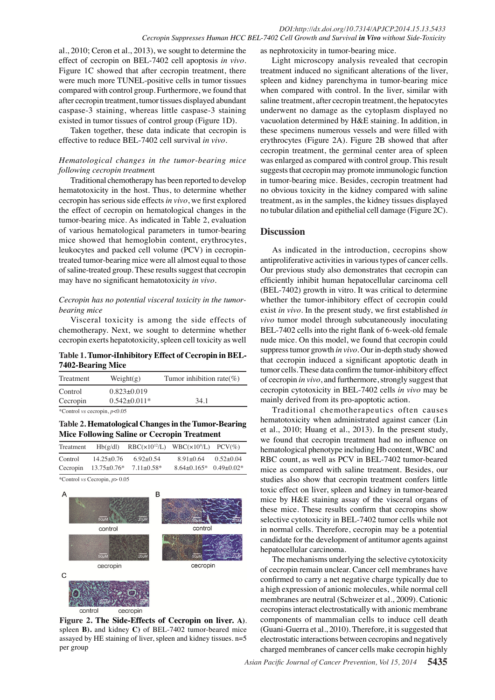al., 2010; Ceron et al., 2013), we sought to determine the effect of cecropin on BEL-7402 cell apoptosis *in vivo*. Figure 1C showed that after cecropin treatment, there were much more TUNEL-positive cells in tumor tissues compared with control group. Furthermore, we found that after cecropin treatment, tumor tissues displayed abundant caspase-3 staining, whereas little caspase-3 staining existed in tumor tissues of control group (Figure 1D).

Taken together, these data indicate that cecropin is effective to reduce BEL-7402 cell survival *in vivo*.

# *Hematological changes in the tumor-bearing mice following cecropin treatmen*t

Traditional chemotherapy has been reported to develop hematotoxicity in the host. Thus, to determine whether cecropin has serious side effects *in vivo*, we first explored the effect of cecropin on hematological changes in the tumor-bearing mice. As indicated in Table 2, evaluation of various hematological parameters in tumor-bearing mice showed that hemoglobin content, erythrocytes, leukocytes and packed cell volume (PCV) in cecropintreated tumor-bearing mice were all almost equal to those of saline-treated group. These results suggest that cecropin may have no significant hematotoxicity *in vivo*.

# *Cecropin has no potential visceral toxicity in the tumorbearing mice*

Visceral toxicity is among the side effects of chemotherapy. Next, we sought to determine whether cecropin exerts hepatotoxicity, spleen cell toxicity as well

**Table 1. Tumor-iInhibitory Effect of Cecropin in BEL-7402-Bearing Mice**

| Treatment                             | Weight(g)                               | Tumor inhibition rate(%) |  |
|---------------------------------------|-----------------------------------------|--------------------------|--|
| Control<br>Cecropin                   | $0.823 \pm 0.019$<br>$0.542 \pm 0.011*$ | 34.1                     |  |
| *Control <i>vs</i> cecropin, $p<0.05$ |                                         |                          |  |

# **Table 2. Hematological Changes in the Tumor-Bearing Mice Following Saline or Cecropin Treatment**

| Treatment | Hb(g/dl)          |                | $RBC(x10^{12}/L)$ WBC $(x10^9/L)$ PCV $(\%)$ |             |
|-----------|-------------------|----------------|----------------------------------------------|-------------|
| Control   | $14.25 + 0.76$    | $6.92+0.54$    | $8.91 + 0.64$                                | $0.52+0.04$ |
| Cecropin  | $13.75 \pm 0.76*$ | $7.11 + 0.58*$ | $8.64+0.165*$ 0.49+0.02*                     |             |

\*Control *vs* Cecropin, *p*> 0.05



**Figure 2. The Side-Effects of Cecropin on liver. A)**. spleen **B).** and kidney **C)** of BEL-7402 tumor-beared mice assayed by HE staining of liver, spleen and kidney tissues. n=5 per group

as nephrotoxicity in tumor-bearing mice.

Light microscopy analysis revealed that cecropin treatment induced no significant alterations of the liver, spleen and kidney parenchyma in tumor-bearing mice when compared with control. In the liver, similar with saline treatment, after cecropin treatment, the hepatocytes underwent no damage as the cytoplasm displayed no vacuolation determined by H&E staining. In addition, in these specimens numerous vessels and were filled with erythrocytes (Figure 2A). Figure 2B showed that after cecropin treatment, the germinal center area of spleen was enlarged as compared with control group. This result suggests that cecropin may promote immunologic function in tumor-bearing mice. Besides, cecropin treatment had no obvious toxicity in the kidney compared with saline treatment, as in the samples, the kidney tissues displayed no tubular dilation and epithelial cell damage (Figure 2C).

# **Discussion**

As indicated in the introduction, cecropins show antiproliferative activities in various types of cancer cells. Our previous study also demonstrates that cecropin can efficiently inhibit human hepatocellular carcinoma cell (BEL-7402) growth in vitro. It was critical to determine whether the tumor-inhibitory effect of cecropin could exist *in vivo*. In the present study, we first established *in vivo* tumor model through subcutaneously inoculating BEL-7402 cells into the right flank of 6-week-old female nude mice. On this model, we found that cecropin could suppress tumor growth *in vivo*. Our in-depth study showed that cecropin induced a significant apoptotic death in tumor cells.These data confirm the tumor-inhibitory effect of cecropin *in vivo*, and furthermore, strongly suggest that cecropin cytotoxicity in BEL-7402 cells *in vivo* may be mainly derived from its pro-apoptotic action.

Traditional chemotherapeutics often causes hematotoxicity when administrated against cancer (Lin et al., 2010; Huang et al., 2013). In the present study, we found that cecropin treatment had no influence on hematological phenotype including Hb content,WBC and RBC count, as well as PCV in BEL-7402 tumor-beared mice as compared with saline treatment. Besides, our studies also show that cecropin treatment confers little toxic effect on liver, spleen and kidney in tumor-beared mice by H&E staining assay of the visceral organs of these mice. These results confirm that cecropins show selective cytotoxicity in BEL-7402 tumor cells while not in normal cells. Therefore, cecropin may be a potential candidate for the development of antitumor agents against hepatocellular carcinoma.

The mechanisms underlying the selective cytotoxicity of cecropin remain unclear. Cancer cell membranes have confirmed to carry a net negative charge typically due to a high expression of anionic molecules, while normal cell membranes are neutral (Schweizer et al., 2009). Cationic cecropins interact electrostatically with anionic membrane components of mammalian cells to induce cell death (Guani-Guerra et al., 2010). Therefore, it is suggested that electrostatic interactions between cecropins and negatively charged membranes of cancer cells make cecropin highly